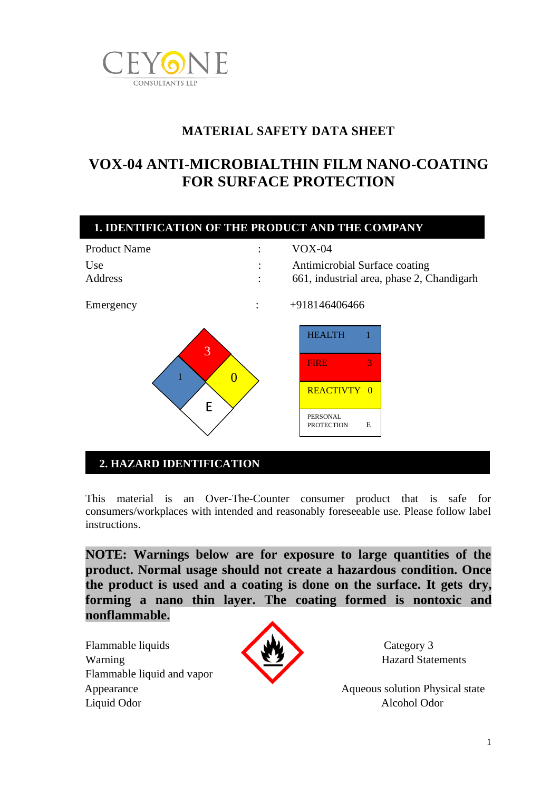

# **MATERIAL SAFETY DATA SHEET**

# **VOX-04 ANTI-MICROBIALTHIN FILM NANO-COATING FOR SURFACE PROTECTION**



# **2. HAZARD IDENTIFICATION**

This material is an Over-The-Counter consumer product that is safe for consumers/workplaces with intended and reasonably foreseeable use. Please follow label instructions.

**. IDENTIFICATION OF THE PRODUCT AND THE COMPANY**

**NOTE: Warnings below are for exposure to large quantities of the product. Normal usage should not create a hazardous condition. Once the product is used and a coating is done on the surface. It gets dry, forming a nano thin layer. The coating formed is nontoxic and nonflammable.**

Flammable liquids Category 3 Warning Hazard Statements Flammable liquid and vapor Liquid Odor Alcohol Odor



Appearance Aqueous solution Physical state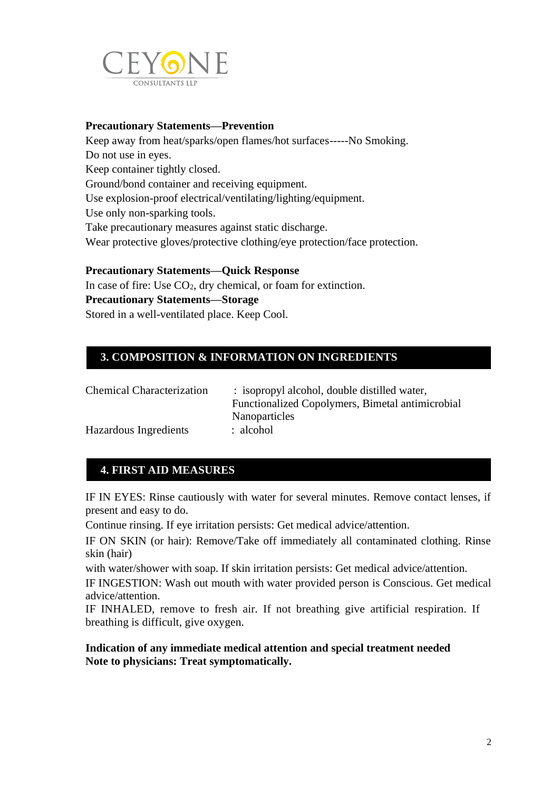

### **Precautionary Statements—Prevention**

Keep away from heat/sparks/open flames/hot surfaces-----No Smoking. Do not use in eyes. Keep container tightly closed. Ground/bond container and receiving equipment. Use explosion-proof electrical/ventilating/lighting/equipment. Use only non-sparking tools. Take precautionary measures against static discharge. Wear protective gloves/protective clothing/eye protection/face protection.

#### **Precautionary Statements—Quick Response**

In case of fire: Use CO2, dry chemical, or foam for extinction. **Precautionary Statements—Storage** Stored in a well-ventilated place. Keep Cool.

## **3. COMPOSITION & INFORMATION ON INGREDIENTS**

**. IDENTIFICATION OF THE PRODUCT AND THE COMPANY**

| <b>Chemical Characterization</b> | : isopropyl alcohol, double distilled water,     |
|----------------------------------|--------------------------------------------------|
|                                  | Functionalized Copolymers, Bimetal antimicrobial |
|                                  | Nanoparticles                                    |
| Hazardous Ingredients            | : alcohol                                        |

# **4. FIRST AID MEASURES**

IF IN EYES: Rinse cautiously with water for several minutes. Remove contact lenses, if present and easy to do.

Continue rinsing. If eye irritation persists: Get medical advice/attention.

IF ON SKIN (or hair): Remove/Take off immediately all contaminated clothing. Rinse skin (hair)

with water/shower with soap. If skin irritation persists: Get medical advice/attention.

IF INGESTION: Wash out mouth with water provided person is Conscious. Get medical advice/attention.

IF INHALED, remove to fresh air. If not breathing give artificial respiration. If breathing is difficult, give oxygen.

#### **Indication of any immediate medical attention and special treatment needed Note to physicians: Treat symptomatically.**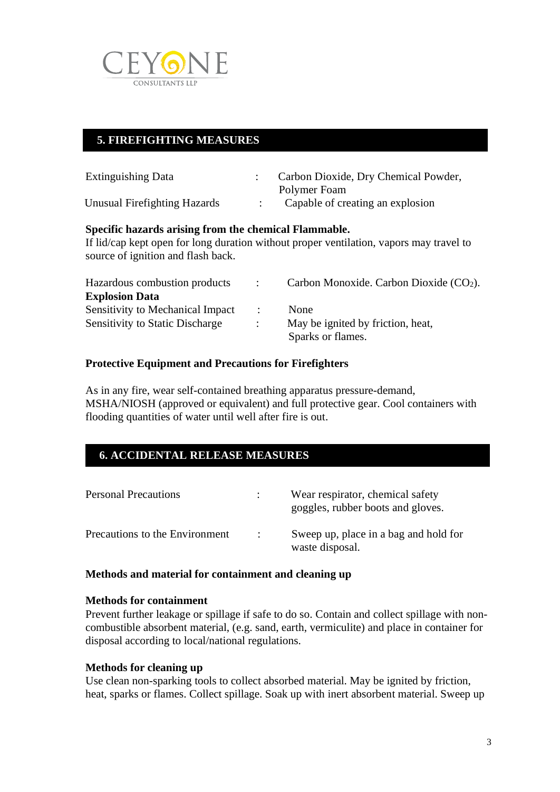

# **5. FIREFIGHTING MEASURES**

| <b>Extinguishing Data</b>    | Carbon Dioxide, Dry Chemical Powder, |
|------------------------------|--------------------------------------|
|                              | Polymer Foam                         |
| Unusual Firefighting Hazards | Capable of creating an explosion     |

**. IDENTIFICATION OF THE PRODUCT AND THE COMPANY**

### **Specific hazards arising from the chemical Flammable.**

If lid/cap kept open for long duration without proper ventilation, vapors may travel to source of ignition and flash back.

| Hazardous combustion products           |                      | Carbon Monoxide. Carbon Dioxide $(CO2)$ . |
|-----------------------------------------|----------------------|-------------------------------------------|
| <b>Explosion Data</b>                   |                      |                                           |
| <b>Sensitivity to Mechanical Impact</b> | $\mathcal{L}$        | <b>None</b>                               |
| <b>Sensitivity to Static Discharge</b>  | $\ddot{\phantom{0}}$ | May be ignited by friction, heat,         |
|                                         |                      | Sparks or flames.                         |

### **Protective Equipment and Precautions for Firefighters**

As in any fire, wear self-contained breathing apparatus pressure-demand, MSHA/NIOSH (approved or equivalent) and full protective gear. Cool containers with flooding quantities of water until well after fire is out.

## **6. ACCIDENTAL RELEASE MEASURES**

| <b>Personal Precautions</b>    |               | Wear respirator, chemical safety<br>goggles, rubber boots and gloves. |
|--------------------------------|---------------|-----------------------------------------------------------------------|
| Precautions to the Environment | $\mathcal{A}$ | Sweep up, place in a bag and hold for<br>waste disposal.              |

**. IDENTIFICATION OF THE PRODUCT AND THE COMPANY**

### **Methods and material for containment and cleaning up**

#### **Methods for containment**

Prevent further leakage or spillage if safe to do so. Contain and collect spillage with noncombustible absorbent material, (e.g. sand, earth, vermiculite) and place in container for disposal according to local/national regulations.

#### **Methods for cleaning up**

Use clean non-sparking tools to collect absorbed material. May be ignited by friction, heat, sparks or flames. Collect spillage. Soak up with inert absorbent material. Sweep up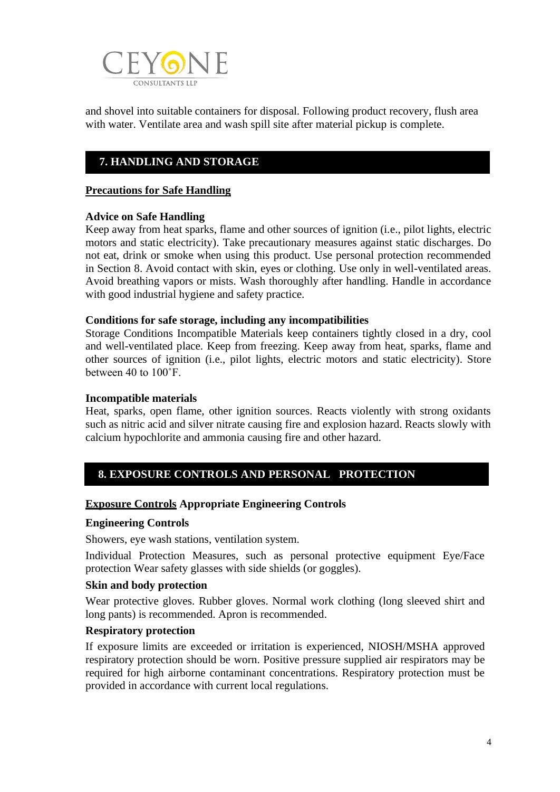

and shovel into suitable containers for disposal. Following product recovery, flush area with water. Ventilate area and wash spill site after material pickup is complete.

**1. IDENTIFICATION OF THE PRODUCT AND THE COMPANY**

# **7. HANDLING AND STORAGE**

#### **Precautions for Safe Handling**

#### **Advice on Safe Handling**

Keep away from heat sparks, flame and other sources of ignition (i.e., pilot lights, electric motors and static electricity). Take precautionary measures against static discharges. Do not eat, drink or smoke when using this product. Use personal protection recommended in Section 8. Avoid contact with skin, eyes or clothing. Use only in well-ventilated areas. Avoid breathing vapors or mists. Wash thoroughly after handling. Handle in accordance with good industrial hygiene and safety practice.

#### **Conditions for safe storage, including any incompatibilities**

Storage Conditions Incompatible Materials keep containers tightly closed in a dry, cool and well-ventilated place. Keep from freezing. Keep away from heat, sparks, flame and other sources of ignition (i.e., pilot lights, electric motors and static electricity). Store between 40 to 100˚F.

#### **Incompatible materials**

Heat, sparks, open flame, other ignition sources. Reacts violently with strong oxidants such as nitric acid and silver nitrate causing fire and explosion hazard. Reacts slowly with calcium hypochlorite and ammonia causing fire and other hazard.

### **8. EXPOSURE CONTROLS AND PERSONAL PROTECTION IDENTIFICATION OF THE PRODUCT AND THE COMPANY**

#### **Exposure Controls Appropriate Engineering Controls**

#### **Engineering Controls**

Showers, eye wash stations, ventilation system.

Individual Protection Measures, such as personal protective equipment Eye/Face protection Wear safety glasses with side shields (or goggles).

#### **Skin and body protection**

Wear protective gloves. Rubber gloves. Normal work clothing (long sleeved shirt and long pants) is recommended. Apron is recommended.

#### **Respiratory protection**

If exposure limits are exceeded or irritation is experienced, NIOSH/MSHA approved respiratory protection should be worn. Positive pressure supplied air respirators may be required for high airborne contaminant concentrations. Respiratory protection must be provided in accordance with current local regulations.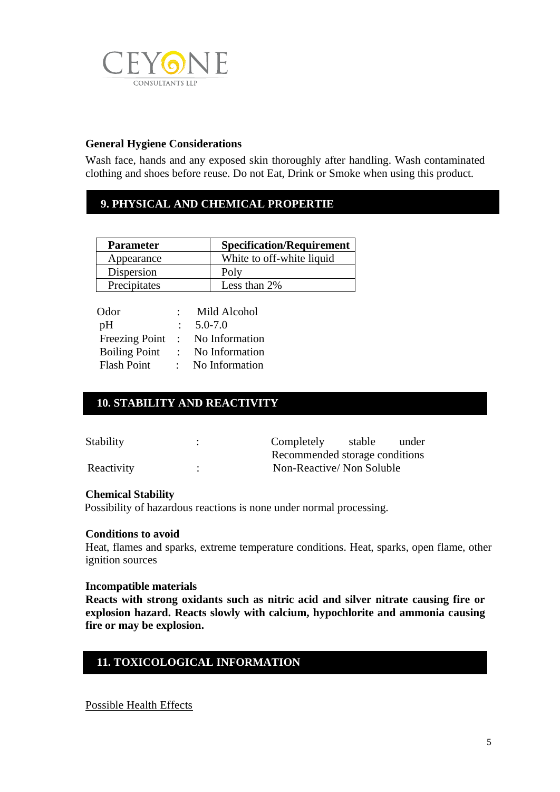

### **General Hygiene Considerations**

Wash face, hands and any exposed skin thoroughly after handling. Wash contaminated clothing and shoes before reuse. Do not Eat, Drink or Smoke when using this product.

# **9. PHYSICAL AND CHEMICAL PROPERTIE**

| <b>Parameter</b> | <b>Specification/Requirement</b> |
|------------------|----------------------------------|
| Appearance       | White to off-white liquid        |
| Dispersion       | Poly                             |
| Precipitates     | Less than 2%                     |

| Odor                  |                | Mild Alcohol   |
|-----------------------|----------------|----------------|
| pH                    |                | $5.0 - 7.0$    |
| <b>Freezing Point</b> | $\sim 10^{-1}$ | No Information |
| <b>Boiling Point</b>  |                | No Information |
| <b>Flash Point</b>    |                | No Information |

# **10. STABILITY AND REACTIVITY**

**. HANDLING AND STORAGE**

| Stability  | ٠ | Completely                     | stable | under |
|------------|---|--------------------------------|--------|-------|
|            |   | Recommended storage conditions |        |       |
| Reactivity |   | Non-Reactive/Non Soluble       |        |       |

#### **Chemical Stability**

Possibility of hazardous reactions is none under normal processing.

#### **Conditions to avoid**

Heat, flames and sparks, extreme temperature conditions. Heat, sparks, open flame, other ignition sources

#### **Incompatible materials**

**Reacts with strong oxidants such as nitric acid and silver nitrate causing fire or explosion hazard. Reacts slowly with calcium, hypochlorite and ammonia causing fire or may be explosion.**

## **11. TOXICOLOGICAL INFORMATION**

**10. STABILITY AND REACTIVITY**

**1. Possible Health Effects**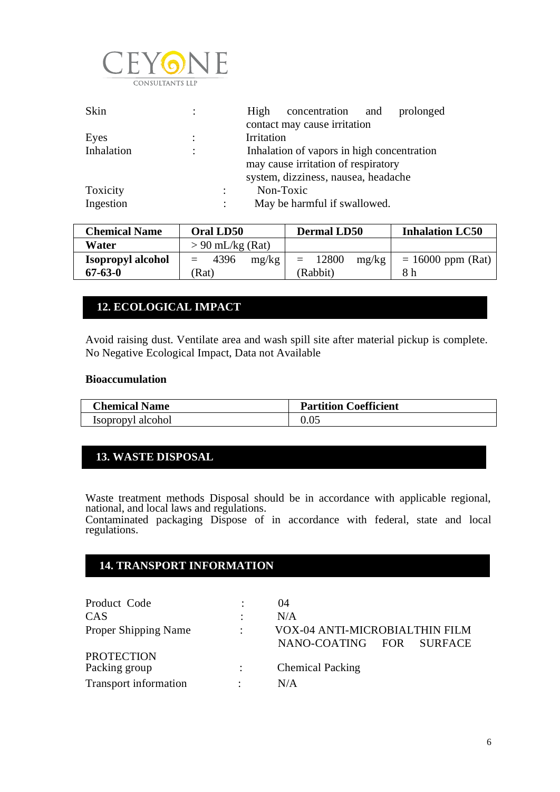

| Skin       | $\ddot{\phantom{a}}$ | concentration and<br>prolonged<br>High     |
|------------|----------------------|--------------------------------------------|
|            |                      | contact may cause irritation               |
| Eyes       | ÷                    | Irritation                                 |
| Inhalation | $\ddot{\cdot}$       | Inhalation of vapors in high concentration |
|            |                      | may cause irritation of respiratory        |
|            |                      | system, dizziness, nausea, headache        |
| Toxicity   |                      | Non-Toxic                                  |
| Ingestion  |                      | May be harmful if swallowed.               |

| <b>Chemical Name</b>     | Oral LD50            | <b>Dermal LD50</b>    | <b>Inhalation LC50</b> |
|--------------------------|----------------------|-----------------------|------------------------|
| Water                    | $> 90$ mL/kg (Rat)   |                       |                        |
| <b>Isopropyl alcohol</b> | 4396<br>mg/kg<br>$=$ | 12800<br>mg/kg<br>$=$ | $= 16000$ ppm (Rat)    |
| $67 - 63 - 0$            | Rat)                 | (Rabbit)              | 8 h                    |

# **12. ECOLOGICAL IMPACT**

**10. STABILITY AND REACTIVITY**

Avoid raising dust. Ventilate area and wash spill site after material pickup is complete. No Negative Ecological Impact, Data not Available **1. IDENTIFICATION OF THE PRODUCT AND THE COMPANY**

#### **Bioaccumulation**

| <b>Chemical Name</b> | <b>Partition Coefficient</b> |
|----------------------|------------------------------|
| Isopropyl alcohol    |                              |

## **13. WASTE DISPOSAL**

**. HANDLING AND STORAGE**

Waste treatment methods Disposal should be in accordance with applicable regional, national, and local laws and regulations. Contaminated packaging Dispose of in accordance with federal, state and local regulations.

# **14. TRANSPORT INFORMATION 10. STABILITY AND REACTIVITY**

| Product Code                 |           | 04                                 |
|------------------------------|-----------|------------------------------------|
| CAS                          | ٠         | N/A                                |
| Proper Shipping Name         | $\bullet$ | VOX-04 ANTI-MICROBIALTHIN FILM     |
|                              |           | NANO-COATING FOR<br><b>SURFACE</b> |
| <b>PROTECTION</b>            |           |                                    |
| Packing group                |           | <b>Chemical Packing</b>            |
| <b>Transport information</b> |           | N/A                                |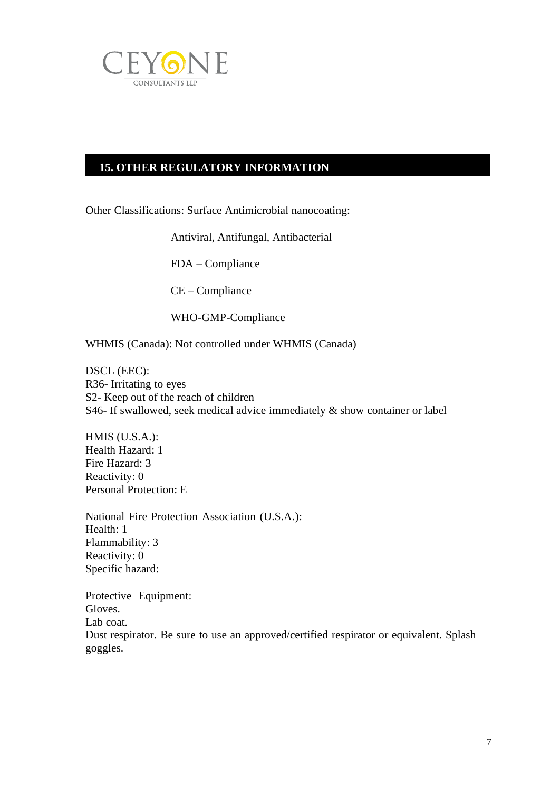

# **15. OTHER REGULATORY INFORMATION**

**10. STABILITY AND REACTIVITY**

**0ther Classifications: Surface Antimicrobial nanocoating:** 

Antiviral, Antifungal, Antibacterial

FDA – Compliance

CE – Compliance

WHO-GMP-Compliance

WHMIS (Canada): Not controlled under WHMIS (Canada)

DSCL (EEC): R36- Irritating to eyes S2- Keep out of the reach of children S46- If swallowed, seek medical advice immediately & show container or label

HMIS (U.S.A.): Health Hazard: 1 Fire Hazard: 3 Reactivity: 0 Personal Protection: E

National Fire Protection Association (U.S.A.): Health: 1 Flammability: 3 Reactivity: 0 Specific hazard:

Protective Equipment: Gloves. Lab coat. Dust respirator. Be sure to use an approved/certified respirator or equivalent. Splash goggles.